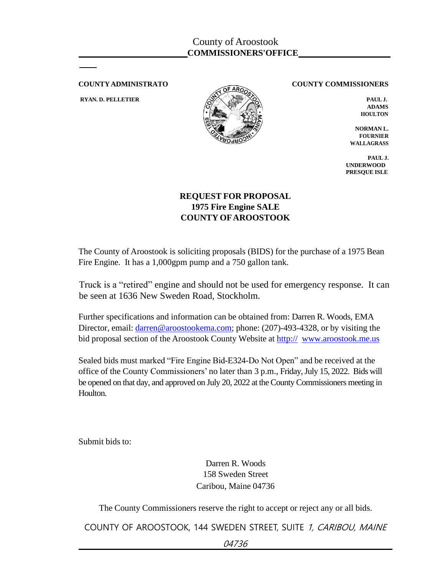

**COUNTYADMINISTRATO COUNTY COMMISSIONERS**

**ADAMS HOULTON**

**NORMAN L. FOURNIER WALLAGRASS**

**PAUL J. UNDERWOOD PRESQUE ISLE**

## **REQUEST FOR PROPOSAL 1975 Fire Engine SALE COUNTY OFAROOSTOOK**

The County of Aroostook is soliciting proposals (BIDS) for the purchase of a 1975 Bean Fire Engine. It has a 1,000gpm pump and a 750 gallon tank.

 Truck is a "retired" engine and should not be used for emergency response. It can be seen at 1636 New Sweden Road, Stockholm.

Further specifications and information can be obtained from: Darren R. Woods, EMA Director, email: darren@aroostookema.com; phone: (207)-493-4328, or by visiting the bid proposal section of the Aroostook County Website at http:// [www.aroostook.me.us](http://www.aroostook.me.us/)

Sealed bids must marked "Fire Engine Bid-E324-Do Not Open" and be received at the office of the County Commissioners' no later than 3 p.m., Friday, July 15, 2022. Bids will be opened on that day, and approved on July 20, 2022 at the County Commissioners meeting in Houlton.

Submit bids to:

Darren R. Woods 158 Sweden Street Caribou, Maine 04736

The County Commissioners reserve the right to accept or reject any or all bids.

COUNTY OF AROOSTOOK, 144 SWEDEN STREET, SUITE 1, CARIBOU, MAINE

04736